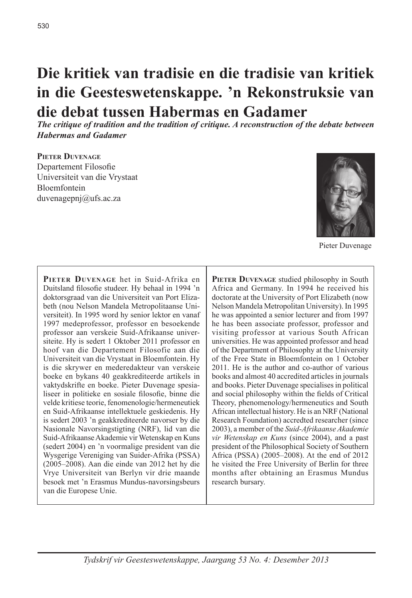# **Die kritiek van tradisie en die tradisie van kritiek in die Geesteswetenskappe. 'n Rekonstruksie van die debat tussen Habermas en Gadamer**

*The critique of tradition and the tradition of critique. A reconstruction of the debate between Habermas and Gadamer*

#### **Pieter Duvenage**

Departement Filosofie Universiteit van die Vrystaat Bloemfontein duvenagepnj@ufs.ac.za



Pieter Duvenage

PIETER DUVENAGE het in Suid-Afrika en Duitsland filosofie studeer. Hy behaal in 1994 'n doktorsgraad van die Universiteit van Port Elizabeth (nou Nelson Mandela Metropolitaanse Universiteit). In 1995 word hy senior lektor en vanaf 1997 medeprofessor, professor en besoekende professor aan verskeie Suid-Afrikaanse universiteite. Hy is sedert 1 Oktober 2011 professor en hoof van die Departement Filosofie aan die Universiteit van die Vrystaat in Bloemfontein. Hy is die skrywer en mederedakteur van verskeie boeke en bykans 40 geakkrediteerde artikels in vaktydskrifte en boeke. Pieter Duvenage spesialiseer in politieke en sosiale filosofie, binne die velde kritiese teorie, fenomenologie/hermeneutiek en Suid-Afrikaanse intellektuele geskiedenis. Hy is sedert 2003 'n geakkrediteerde navorser by die Nasionale Navorsingstigting (NRF), lid van die Suid-Afrikaanse Akademie vir Wetenskap en Kuns (sedert 2004) en 'n voormalige president van die Wysgerige Vereniging van Suider-Afrika (PSSA) (2005–2008). Aan die einde van 2012 het hy die Vrye Universiteit van Berlyn vir drie maande besoek met 'n Erasmus Mundus-navorsingsbeurs van die Europese Unie.

**PIETER DUVENAGE** studied philosophy in South Africa and Germany. In 1994 he received his doctorate at the University of Port Elizabeth (now Nelson Mandela Metropolitan University). In 1995 he was appointed a senior lecturer and from 1997 he has been associate professor, professor and visiting professor at various South African universities. He was appointed professor and head of the Department of Philosophy at the University of the Free State in Bloemfontein on 1 October 2011. He is the author and co-author of various books and almost 40 accredited articles in journals and books. Pieter Duvenage specialises in political and social philosophy within the fields of Critical Theory, phenomenology/hermeneutics and South African intellectual history. He is an NRF (National Research Foundation) accredted researcher (since 2003), a member of the *Suid-Afrikaanse Akademie vir Wetenskap en Kuns* (since 2004), and a past president of the Philosophical Society of Southern Africa (PSSA) (2005–2008). At the end of 2012 he visited the Free University of Berlin for three months after obtaining an Erasmus Mundus research bursary.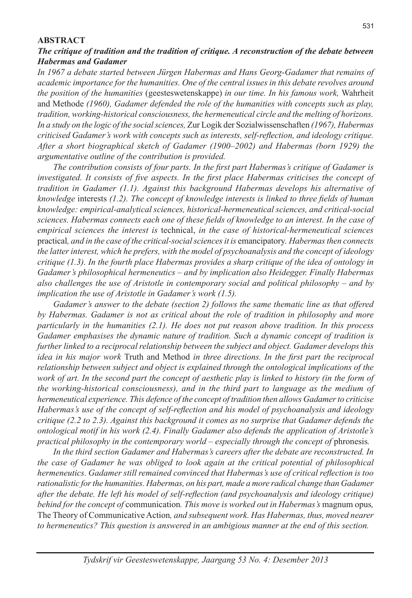#### **ABSTRACT**

### *The critique of tradition and the tradition of critique. A reconstruction of the debate between Habermas and Gadamer*

*In 1967 a debate started between Jürgen Habermas and Hans Georg-Gadamer that remains of academic importance for the humanities. One of the central issues in this debate revolves around the position of the humanities* (geesteswetenskappe) *in our time. In his famous work,* Wahrheit and Methode *(1960), Gadamer defended the role of the humanities with concepts such as play, tradition, working-historical consciousness, the hermeneutical circle and the melting of horizons. In a study on the logic of the social sciences,* Zur Logik der Sozialwissenschaften *(1967), Habermas criticised Gadamer's work with concepts such as interests, self-reflection, and ideology critique. After a short biographical sketch of Gadamer (1900–2002) and Habermas (born 1929) the argumentative outline of the contribution is provided.*

*The contribution consists of four parts. In the first part Habermas's critique of Gadamer is investigated. It consists of five aspects. In the first place Habermas criticises the concept of tradition in Gadamer (1.1). Against this background Habermas develops his alternative of knowledge* interests *(1.2). The concept of knowledge interests is linked to three fields of human knowledge: empirical-analytical sciences, historical-hermeneutical sciences, and critical-social sciences. Habermas connects each one of these fields of knowledge to an interest. In the case of empirical sciences the interest is* technical, *in the case of historical-hermeneutical sciences*  practical*, and in the case of the critical-social sciences it is* emancipatory*. Habermas then connects the latter interest, which he prefers, with the model of psychoanalysis and the concept of ideology critique (1.3). In the fourth place Habermas provides a sharp critique of the idea of ontology in Gadamer's philosophical hermeneutics – and by implication also Heidegger. Finally Habermas also challenges the use of Aristotle in contemporary social and political philosophy – and by implication the use of Aristotle in Gadamer's work (1.5).* 

*Gadamer's answer to the debate (section 2) follows the same thematic line as that offered by Habermas. Gadamer is not as critical about the role of tradition in philosophy and more particularly in the humanities (2.1). He does not put reason above tradition. In this process Gadamer emphasises the dynamic nature of tradition. Such a dynamic concept of tradition is further linked to a reciprocal relationship between the subject and object. Gadamer develops this idea in his major work* Truth and Method *in three directions. In the first part the reciprocal relationship between subject and object is explained through the ontological implications of the work of art. In the second part the concept of aesthetic play is linked to history (in the form of the working-historical consciousness), and in the third part to language as the medium of hermeneutical experience. This defence of the concept of tradition then allows Gadamer to criticise Habermas's use of the concept of self-reflection and his model of psychoanalysis and ideology critique (2.2 to 2.3). Against this background it comes as no surprise that Gadamer defends the ontological motif in his work (2.4). Finally Gadamer also defends the application of Aristotle's practical philosophy in the contemporary world – especially through the concept of phronesis.* 

*In the third section Gadamer and Habermas's careers after the debate are reconstructed. In the case of Gadamer he was obliged to look again at the critical potential of philosophical hermeneutics. Gadamer still remained convinced that Habermas's use of critical reflection is too rationalistic for the humanities. Habermas, on his part, made a more radical change than Gadamer after the debate. He left his model of self-reflection (and psychoanalysis and ideology critique) behind for the concept of* communication*. This move is worked out in Habermas's* magnum opus*,*  The Theory of Communicative Action*, and subsequent work. Has Habermas, thus, moved nearer to hermeneutics? This question is answered in an ambigious manner at the end of this section.*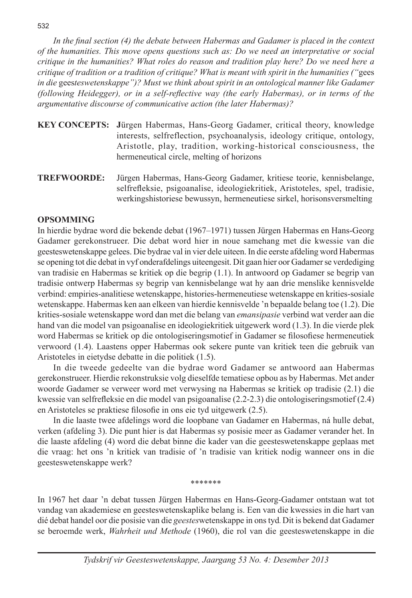*In the final section (4) the debate between Habermas and Gadamer is placed in the context of the humanities. This move opens questions such as: Do we need an interpretative or social critique in the humanities? What roles do reason and tradition play here? Do we need here a critique of tradition or a tradition of critique? What is meant with spirit in the humanities ("*gees *in die* gees*teswetenskappe")? Must we think about spirit in an ontological manner like Gadamer (following Heidegger), or in a self-reflective way (the early Habermas), or in terms of the argumentative discourse of communicative action (the later Habermas)?* 

- **KEY CONCEPTS: J**ürgen Habermas, Hans-Georg Gadamer, critical theory, knowledge interests, selfreflection, psychoanalysis, ideology critique, ontology, Aristotle, play, tradition, working-historical consciousness, the hermeneutical circle, melting of horizons
- **TREFWOORDE:** Jürgen Habermas, Hans-Georg Gadamer, kritiese teorie, kennisbelange, selfrefleksie, psigoanalise, ideologiekritiek, Aristoteles, spel, tradisie, werkingshistoriese bewussyn, hermeneutiese sirkel, horisonsversmelting

### **Opsomming**

In hierdie bydrae word die bekende debat (1967–1971) tussen Jürgen Habermas en Hans-Georg Gadamer gerekonstrueer. Die debat word hier in noue samehang met die kwessie van die geesteswetenskappe gelees. Die bydrae val in vier dele uiteen. In die eerste afdeling word Habermas se opening tot die debat in vyf onderafdelings uiteengesit. Dit gaan hier oor Gadamer se verdediging van tradisie en Habermas se kritiek op die begrip (1.1). In antwoord op Gadamer se begrip van tradisie ontwerp Habermas sy begrip van kennisbelange wat hy aan drie menslike kennisvelde verbind: empiries-analitiese wetenskappe, histories-hermeneutiese wetenskappe en krities-sosiale wetenskappe. Habermas ken aan elkeen van hierdie kennisvelde 'n bepaalde belang toe (1.2). Die krities-sosiale wetenskappe word dan met die belang van *emansipasie* verbind wat verder aan die hand van die model van psigoanalise en ideologiekritiek uitgewerk word (1.3). In die vierde plek word Habermas se kritiek op die ontologiseringsmotief in Gadamer se filosofiese hermeneutiek verwoord (1.4). Laastens opper Habermas ook sekere punte van kritiek teen die gebruik van Aristoteles in eietydse debatte in die politiek (1.5).

In die tweede gedeelte van die bydrae word Gadamer se antwoord aan Habermas gerekonstrueer. Hierdie rekonstruksie volg dieselfde tematiese opbou as by Habermas. Met ander woorde Gadamer se verweer word met verwysing na Habermas se kritiek op tradisie (2.1) die kwessie van selfrefleksie en die model van psigoanalise (2.2-2.3) die ontologiseringsmotief (2.4) en Aristoteles se praktiese filosofie in ons eie tyd uitgewerk (2.5).

In die laaste twee afdelings word die loopbane van Gadamer en Habermas, ná hulle debat, verken (afdeling 3). Die punt hier is dat Habermas sy posisie meer as Gadamer verander het. In die laaste afdeling (4) word die debat binne die kader van die geesteswetenskappe geplaas met die vraag: het ons 'n kritiek van tradisie of 'n tradisie van kritiek nodig wanneer ons in die geesteswetenskappe werk?

\*\*\*\*\*\*\*

In 1967 het daar 'n debat tussen Jürgen Habermas en Hans-Georg-Gadamer ontstaan wat tot vandag van akademiese en geesteswetenskaplike belang is. Een van die kwessies in die hart van dié debat handel oor die posisie van die *geestes*wetenskappe in ons tyd. Dit is bekend dat Gadamer se beroemde werk, *Wahrheit und Methode* (1960), die rol van die geesteswetenskappe in die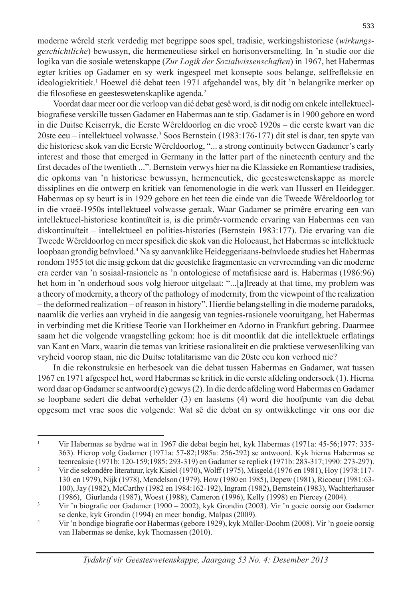moderne wêreld sterk verdedig met begrippe soos spel, tradisie, werkingshistoriese (*wirkungsgeschichtliche*) bewussyn, die hermeneutiese sirkel en horisonversmelting. In 'n studie oor die logika van die sosiale wetenskappe (*Zur Logik der Sozialwissenschaften*) in 1967, het Habermas egter krities op Gadamer en sy werk ingespeel met konsepte soos belange, selfrefleksie en ideologiekritiek.<sup>1</sup> Hoewel dié debat teen 1971 afgehandel was, bly dit 'n belangrike merker op die filosofiese en geesteswetenskaplike agenda.<sup>2</sup>

Voordat daar meer oor die verloop van dié debat gesê word, is dit nodig om enkele intellektueelbiografiese verskille tussen Gadamer en Habermas aan te stip. Gadamer is in 1900 gebore en word in die Duitse Keiserryk, die Eerste Wêreldoorlog en die vroeë 1920s – die eerste kwart van die 20ste eeu – intellektueel volwasse.3 Soos Bernstein (1983:176-177) dit stel is daar, ten spyte van die historiese skok van die Eerste Wêreldoorlog, "... a strong continuity between Gadamer's early interest and those that emerged in Germany in the latter part of the nineteenth century and the first decades of the twentieth ...". Bernstein verwys hier na die Klassieke en Romantiese tradisies, die opkoms van 'n historiese bewussyn, hermeneutiek, die geesteswetenskappe as morele dissiplines en die ontwerp en kritiek van fenomenologie in die werk van Husserl en Heidegger. Habermas op sy beurt is in 1929 gebore en het teen die einde van die Tweede Wêreldoorlog tot in die vroeë-1950s intellektueel volwasse geraak. Waar Gadamer se primêre ervaring een van intellektueel-historiese kontinuïteit is, is die primêr-vormende ervaring van Habermas een van diskontinuïteit – intellektueel en polities-histories (Bernstein 1983:177). Die ervaring van die Tweede Wêreldoorlog en meer spesifiek die skok van die Holocaust, het Habermas se intellektuele loopbaan grondig beïnvloed.4 Na sy aanvanklike Heideggeriaans-beïnvloede studies het Habermas rondom 1955 tot die insig gekom dat die geestelike fragmentasie en vervreemding van die moderne era eerder van 'n sosiaal-rasionele as 'n ontologiese of metafisiese aard is. Habermas (1986:96) het hom in 'n onderhoud soos volg hieroor uitgelaat: "...[a]lready at that time, my problem was a theory of modernity, a theory of the pathology of modernity, from the viewpoint of the realization – the deformed realization – of reason in history". Hierdie belangstelling in die moderne paradoks, naamlik die verlies aan vryheid in die aangesig van tegnies-rasionele vooruitgang, het Habermas in verbinding met die Kritiese Teorie van Horkheimer en Adorno in Frankfurt gebring. Daarmee saam het die volgende vraagstelling gekom: hoe is dit moontlik dat die intellektuele erflatings van Kant en Marx, waarin die temas van kritiese rasionaliteit en die praktiese verwesenliking van vryheid voorop staan, nie die Duitse totalitarisme van die 20ste eeu kon verhoed nie?

In die rekonstruksie en herbesoek van die debat tussen Habermas en Gadamer, wat tussen 1967 en 1971 afgespeel het, word Habermas se kritiek in die eerste afdeling ondersoek (1). Hierna word daar op Gadamer se antwoord(e) gewys (2). In die derde afdeling word Habermas en Gadamer se loopbane sedert die debat verhelder (3) en laastens (4) word die hoofpunte van die debat opgesom met vrae soos die volgende: Wat sê die debat en sy ontwikkelinge vir ons oor die

<sup>1</sup> Vir Habermas se bydrae wat in 1967 die debat begin het, kyk Habermas (1971a: 45-56;1977: 335-363). Hierop volg Gadamer (1971a: 57-82;1985a: 256-292) se antwoord. Kyk hierna Habermas se

teenreaksie (1971b: 120-159;1985: 293-319) en Gadamer se repliek (1971b: 283-317;1990: 273-297). 2 Vir die sekondêre literatuur, kyk Kisiel (1970), Wolff (1975), Misgeld (1976 en 1981), Hoy (1978:117-130 en 1979), Nijk (1978), Mendelson (1979), How (1980 en 1985), Depew (1981), Ricoeur (1981:63-100), Jay (1982), McCarthy (1982 en 1984:162-192), Ingram (1982), Bernstein (1983), Wachterhauser

 $\frac{3}{10}$  Vir 'n biografie oor Gadamer (1900 – 2002), kyk Grondin (2003). Vir 'n goeie oorsig oor Gadamer se denke, kyk Grondin (1994) en meer bondig, Malpas (2009).

<sup>4</sup> Vir 'n bondige biografie oor Habermas (gebore 1929), kyk Müller-Doohm (2008). Vir 'n goeie oorsig van Habermas se denke, kyk Thomassen (2010).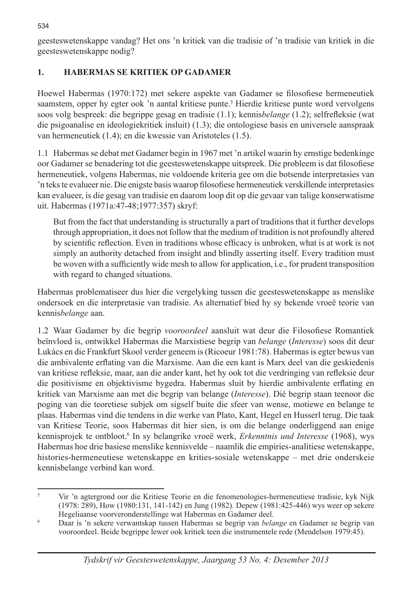geesteswetenskappe vandag? Het ons 'n kritiek van die tradisie of 'n tradisie van kritiek in die geesteswetenskappe nodig?

### **1. HABERMAS SE KRITIEK OP GADAMER**

Hoewel Habermas (1970:172) met sekere aspekte van Gadamer se filosofiese hermeneutiek saamstem, opper hy egter ook 'n aantal kritiese punte.<sup>5</sup> Hierdie kritiese punte word vervolgens soos volg bespreek: die begrippe gesag en tradisie (1.1); kennis*belange* (1.2); selfrefleksie (wat die psigoanalise en ideologiekritiek insluit) (1.3); die ontologiese basis en universele aanspraak van hermeneutiek (1.4); en die kwessie van Aristoteles (1.5).

1.1 Habermas se debat met Gadamer begin in 1967 met 'n artikel waarin hy ernstige bedenkinge oor Gadamer se benadering tot die geesteswetenskappe uitspreek. Die probleem is dat filosofiese hermeneutiek, volgens Habermas, nie voldoende kriteria gee om die botsende interpretasies van 'n teks te evalueer nie. Die enigste basis waarop filosofiese hermeneutiek verskillende interpretasies kan evalueer, is die gesag van tradisie en daarom loop dit op die gevaar van talige konserwatisme uit. Habermas (1971a:47-48;1977:357) skryf:

But from the fact that understanding is structurally a part of traditions that it further develops through appropriation, it does not follow that the medium of tradition is not profoundly altered by scientific reflection. Even in traditions whose efficacy is unbroken, what is at work is not simply an authority detached from insight and blindly asserting itself. Every tradition must be woven with a sufficiently wide mesh to allow for application, i.e., for prudent transposition with regard to changed situations.

Habermas problematiseer dus hier die vergelyking tussen die geesteswetenskappe as menslike ondersoek en die interpretasie van tradisie. As alternatief bied hy sy bekende vroeë teorie van kennis*belange* aan.

1.2 Waar Gadamer by die begrip *vooroordeel* aansluit wat deur die Filosofiese Romantiek beïnvloed is, ontwikkel Habermas die Marxistiese begrip van *belange* (*Interesse*) soos dit deur Lukács en die Frankfurt Skool verder geneem is (Ricoeur 1981:78). Habermas is egter bewus van die ambivalente erflating van die Marxisme. Aan die een kant is Marx deel van die geskiedenis van kritiese refleksie, maar, aan die ander kant, het hy ook tot die verdringing van refleksie deur die positivisme en objektivisme bygedra. Habermas sluit by hierdie ambivalente erflating en kritiek van Marxisme aan met die begrip van belange (*Interesse*). Dié begrip staan teenoor die poging van die teoretiese subjek om sigself buite die sfeer van wense, motiewe en belange te plaas. Habermas vind die tendens in die werke van Plato, Kant, Hegel en Husserl terug. Die taak van Kritiese Teorie, soos Habermas dit hier sien, is om die belange onderliggend aan enige kennisprojek te ontbloot.6 In sy belangrike vroeë werk, *Erkenntnis und Interesse* (1968), wys Habermas hoe drie basiese menslike kennisvelde – naamlik die empiries-analitiese wetenskappe, histories-hermeneutiese wetenskappe en krities-sosiale wetenskappe – met drie onderskeie kennisbelange verbind kan word.

<sup>&</sup>lt;sup>5</sup> Vir 'n agtergrond oor die Kritiese Teorie en die fenomenologies-hermeneutiese tradisie, kyk Nijk (1978: 289), How (1980:131, 141-142) en Jung (1982). Depew (1981:425-446) wys weer op sekere

Hegeliaanse voorveronderstellinge wat Habermas en Gadamer deel. 6 Daar is 'n sekere verwantskap tussen Habermas se begrip van *belange* en Gadamer se begrip van vooroordeel. Beide begrippe lewer ook kritiek teen die instrumentele rede (Mendelson 1979:45).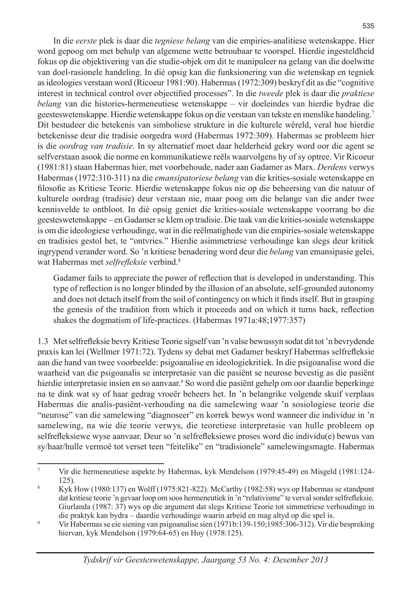In die *eerste* plek is daar die *tegniese belang* van die empiries-analitiese wetenskappe. Hier word gepoog om met behulp van algemene wette betroubaar te voorspel. Hierdie ingesteldheid fokus op die objektivering van die studie-objek om dit te manipuleer na gelang van die doelwitte van doel-rasionele handeling. In dié opsig kan die funksionering van die wetenskap en tegniek as ideologies verstaan word (Ricoeur 1981:90). Habermas (1972:309) beskryf dit as die "cognitive interest in technical control over objectified processes". In die *tweede* plek is daar die *praktiese belang* van die histories-hermeneutiese wetenskappe – vir doeleindes van hierdie bydrae die geesteswetenskappe. Hierdie wetenskappe fokus op die verstaan van tekste en menslike handeling.7 Dit bestudeer die betekenis van simboliese strukture in die kulturele wêreld, veral hoe hierdie betekenisse deur die tradisie oorgedra word (Habermas 1972:309). Habermas se probleem hier is die *oordrag van tradisie*. In sy alternatief moet daar helderheid gekry word oor die agent se selfverstaan asook die norme en kommunikatiewe reëls waarvolgens hy of sy optree. Vir Ricoeur (1981:81) staan Habermas hier, met voorbehoude, nader aan Gadamer as Marx. *Derdens* verwys Habermas (1972:310-311) na die *emansipatoriese belang* van die krities-sosiale wetenskappe en filosofie as Kritiese Teorie. Hierdie wetenskappe fokus nie op die beheersing van die natuur of kulturele oordrag (tradisie) deur verstaan nie, maar poog om die belange van die ander twee kennisvelde te ontbloot. In dié opsig geniet die krities-sosiale wetenskappe voorrang bo die geesteswetenskappe – en Gadamer se klem op tradisie. Die taak van die krities-sosiale wetenskappe is om die ideologiese verhoudinge, wat in die reëlmatighede van die empiries-sosiale wetenskappe en tradisies gestol het, te "ontvries." Hierdie asimmetriese verhoudinge kan slegs deur kritiek ingrypend verander word. So 'n kritiese benadering word deur die *belang* van emansipasie gelei, wat Habermas met *selfrefleksie* verbind.8

Gadamer fails to appreciate the power of reflection that is developed in understanding. This type of reflection is no longer blinded by the illusion of an absolute, self-grounded autonomy and does not detach itself from the soil of contingency on which it finds itself. But in grasping the genesis of the tradition from which it proceeds and on which it turns back, reflection shakes the dogmatism of life-practices. (Habermas 1971a:48;1977:357)

1.3 Met selfrefleksie bevry Kritiese Teorie sigself van 'n valse bewussyn sodat dit tot 'n bevrydende praxis kan lei (Wellmer 1971:72). Tydens sy debat met Gadamer beskryf Habermas selfrefleksie aan die hand van twee voorbeelde: psigoanalise en ideologiekritiek. In die psigoanalise word die waarheid van die psigoanalis se interpretasie van die pasiënt se neurose bevestig as die pasiënt hierdie interpretasie insien en so aanvaar.<sup>9</sup> So word die pasiënt gehelp om oor daardie beperkinge na te dink wat sy of haar gedrag vroeër beheers het. In 'n belangrike volgende skuif verplaas Habermas die analis-pasiënt-verhouding na die samelewing waar 'n sosiologiese teorie die "neurose" van die samelewing "diagnoseer" en korrek bewys word wanneer die individue in 'n samelewing, na wie die teorie verwys, die teoretiese interpretasie van hulle probleem op selfrefleksiewe wyse aanvaar. Deur so 'n selfrefleksiewe proses word die individu(e) bewus van sy/haar/hulle vermoë tot verset teen "feitelike" en "tradisionele" samelewingsmagte. Habermas

<sup>7</sup> Vir die hermeneutiese aspekte by Habermas, kyk Mendelson (1979:45-49) en Misgeld (1981:124-125). 8 Kyk How (1980:137) en Wolff (1975:821-822). McCarthy (1982:58) wys op Habermas se standpunt

dat kritiese teorie 'n gevaar loop om soos hermeneutiek in 'n "relativisme" te verval sonder selfrefleksie. Giurlanda (1987: 37) wys op die argument dat slegs Kritiese Teorie tot simmetriese verhoudinge in die praktyk kan bydra – daardie verhoudinge waarin arbeid en mag altyd op die spel is.

 $\dot{p}$  Vir Habermas se eie siening van psigoanalise sien (1971b:139-150;1985:306-312). Vir die bespreking hiervan, kyk Mendelson (1979:64-65) en Hoy (1978:125).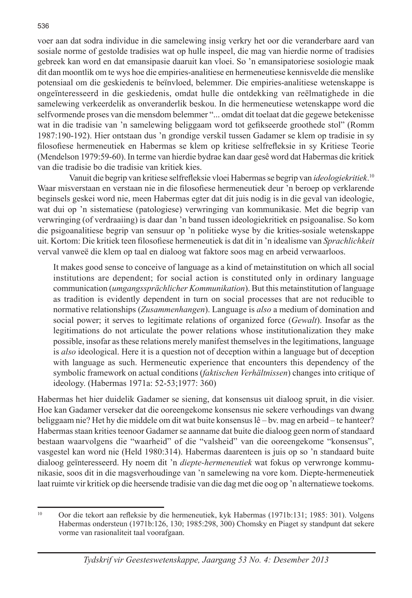voer aan dat sodra individue in die samelewing insig verkry het oor die veranderbare aard van sosiale norme of gestolde tradisies wat op hulle inspeel, die mag van hierdie norme of tradisies gebreek kan word en dat emansipasie daaruit kan vloei. So 'n emansipatoriese sosiologie maak dit dan moontlik om te wys hoe die empiries-analitiese en hermeneutiese kennisvelde die menslike potensiaal om die geskiedenis te beïnvloed, belemmer. Die empiries-analitiese wetenskappe is ongeïnteresseerd in die geskiedenis, omdat hulle die ontdekking van reëlmatighede in die samelewing verkeerdelik as onveranderlik beskou. In die hermeneutiese wetenskappe word die selfvormende proses van die mensdom belemmer "... omdat dit toelaat dat die gegewe betekenisse wat in die tradisie van 'n samelewing beliggaam word tot gefikseerde groothede stol" (Romm 1987:190-192). Hier ontstaan dus 'n grondige verskil tussen Gadamer se klem op tradisie in sy filosofiese hermeneutiek en Habermas se klem op kritiese selfrefleksie in sy Kritiese Teorie (Mendelson 1979:59-60). In terme van hierdie bydrae kan daar gesê word dat Habermas die kritiek van die tradisie bo die tradisie van kritiek kies.

Vanuit die begrip van kritiese selfrefleksie vloei Habermas se begrip van *ideologiekritiek*. 10 Waar misverstaan en verstaan nie in die filosofiese hermeneutiek deur 'n beroep op verklarende beginsels geskei word nie, meen Habermas egter dat dit juis nodig is in die geval van ideologie, wat dui op 'n sistematiese (patologiese) verwringing van kommunikasie. Met die begrip van verwringing (of verdraaiing) is daar dan 'n band tussen ideologiekritiek en psigoanalise. So kom die psigoanalitiese begrip van sensuur op 'n politieke wyse by die krities-sosiale wetenskappe uit. Kortom: Die kritiek teen filosofiese hermeneutiek is dat dit in 'n idealisme van *Sprachlichkeit* verval vanweë die klem op taal en dialoog wat faktore soos mag en arbeid verwaarloos.

It makes good sense to conceive of language as a kind of metainstitution on which all social institutions are dependent; for social action is constituted only in ordinary language communication (*umgangssprächlicher Kommunikation*). But this metainstitution of language as tradition is evidently dependent in turn on social processes that are not reducible to normative relationships (*Zusammenhangen*). Language is *also* a medium of domination and social power; it serves to legitimate relations of organized force (*Gewalt*). Insofar as the legitimations do not articulate the power relations whose institutionalization they make possible, insofar as these relations merely manifest themselves in the legitimations, language is *also* ideological. Here it is a question not of deception within a language but of deception with language as such. Hermeneutic experience that encounters this dependency of the symbolic framework on actual conditions (*faktischen Verhältnissen*) changes into critique of ideology. (Habermas 1971a: 52-53;1977: 360)

Habermas het hier duidelik Gadamer se siening, dat konsensus uit dialoog spruit, in die visier. Hoe kan Gadamer verseker dat die ooreengekome konsensus nie sekere verhoudings van dwang beliggaam nie? Het hy die middele om dit wat buite konsensus lê – bv. mag en arbeid – te hanteer? Habermas staan krities teenoor Gadamer se aanname dat buite die dialoog geen norm of standaard bestaan waarvolgens die "waarheid" of die "valsheid" van die ooreengekome "konsensus", vasgestel kan word nie (Held 1980:314). Habermas daarenteen is juis op so 'n standaard buite dialoog geïnteresseerd. Hy noem dit 'n *diepte-hermeneutiek* wat fokus op verwronge kommunikasie, soos dit in die magsverhoudinge van 'n samelewing na vore kom. Diepte-hermeneutiek laat ruimte vir kritiek op die heersende tradisie van die dag met die oog op 'n alternatiewe toekoms.

<sup>10</sup> Oor die tekort aan refleksie by die hermeneutiek, kyk Habermas (1971b:131; 1985: 301). Volgens Habermas ondersteun (1971b:126, 130; 1985:298, 300) Chomsky en Piaget sy standpunt dat sekere vorme van rasionaliteit taal voorafgaan.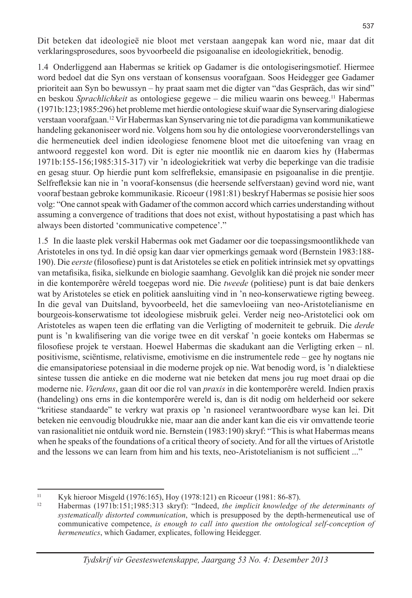Dit beteken dat ideologieë nie bloot met verstaan aangepak kan word nie, maar dat dit verklaringsprosedures, soos byvoorbeeld die psigoanalise en ideologiekritiek, benodig.

1.4 Onderliggend aan Habermas se kritiek op Gadamer is die ontologiseringsmotief. Hiermee word bedoel dat die Syn ons verstaan of konsensus voorafgaan. Soos Heidegger gee Gadamer prioriteit aan Syn bo bewussyn – hy praat saam met die digter van "das Gespräch, das wir sind" en beskou *Sprachlichkeit* as ontologiese gegewe – die milieu waarin ons beweeg.11 Habermas (1971b:123;1985:296) het probleme met hierdie ontologiese skuif waar die Synservaring dialogiese verstaan voorafgaan.12 Vir Habermas kan Synservaring nie tot die paradigma van kommunikatiewe handeling gekanoniseer word nie. Volgens hom sou hy die ontologiese voorveronderstellings van die hermeneutiek deel indien ideologiese fenomene bloot met die uitoefening van vraag en antwoord reggestel kon word. Dit is egter nie moontlik nie en daarom kies hy (Habermas 1971b:155-156;1985:315-317) vir 'n ideologiekritiek wat verby die beperkinge van die tradisie en gesag stuur. Op hierdie punt kom selfrefleksie, emansipasie en psigoanalise in die prentjie. Selfrefleksie kan nie in 'n vooraf-konsensus (die heersende selfverstaan) gevind word nie, want vooraf bestaan gebroke kommunikasie. Ricoeur (1981:81) beskryf Habermas se posisie hier soos volg: "One cannot speak with Gadamer of the common accord which carries understanding without assuming a convergence of traditions that does not exist, without hypostatising a past which has always been distorted 'communicative competence'."

1.5 In die laaste plek verskil Habermas ook met Gadamer oor die toepassingsmoontlikhede van Aristoteles in ons tyd. In dié opsig kan daar vier opmerkings gemaak word (Bernstein 1983:188-190). Die *eerste* (filosofiese) punt is dat Aristoteles se etiek en politiek intrinsiek met sy opvattings van metafisika, fisika, sielkunde en biologie saamhang. Gevolglik kan dié projek nie sonder meer in die kontemporêre wêreld toegepas word nie. Die *tweede* (politiese) punt is dat baie denkers wat by Aristoteles se etiek en politiek aansluiting vind in 'n neo-konserwatiewe rigting beweeg. In die geval van Duitsland, byvoorbeeld, het die samevloeiing van neo-Aristotelianisme en bourgeois-konserwatisme tot ideologiese misbruik gelei. Verder neig neo-Aristotelici ook om Aristoteles as wapen teen die erflating van die Verligting of moderniteit te gebruik. Die *derde* punt is 'n kwalifisering van die vorige twee en dit verskaf 'n goeie konteks om Habermas se filosofiese projek te verstaan. Hoewel Habermas die skadukant aan die Verligting erken – nl. positivisme, sciëntisme, relativisme, emotivisme en die instrumentele rede – gee hy nogtans nie die emansipatoriese potensiaal in die moderne projek op nie. Wat benodig word, is 'n dialektiese sintese tussen die antieke en die moderne wat nie beteken dat mens jou rug moet draai op die moderne nie. *Vierdens*, gaan dit oor die rol van *praxis* in die kontemporêre wereld. Indien praxis (handeling) ons erns in die kontemporêre wereld is, dan is dit nodig om helderheid oor sekere "kritiese standaarde" te verkry wat praxis op 'n rasioneel verantwoordbare wyse kan lei. Dit beteken nie eenvoudig bloudrukke nie, maar aan die ander kant kan die eis vir omvattende teorie van rasionalitiet nie ontduik word nie. Bernstein (1983:190) skryf: "This is what Habermas means when he speaks of the foundations of a critical theory of society. And for all the virtues of Aristotle and the lessons we can learn from him and his texts, neo-Aristotelianism is not sufficient ..."

<sup>11</sup> Kyk hieroor Misgeld (1976:165), Hoy (1978:121) en Ricoeur (1981: 86-87). 12 Habermas (1971b:151;1985:313 skryf): "Indeed, *the implicit knowledge of the determinants of systematically distorted communication*, which is presupposed by the depth-hermeneutical use of communicative competence, *is enough to call into question the ontological self-conception of hermeneutics*, which Gadamer, explicates, following Heidegger.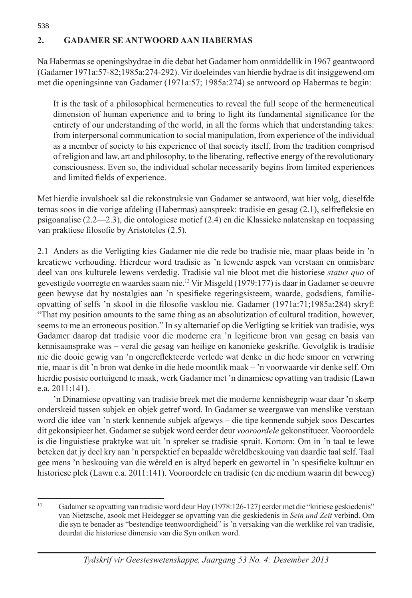## **2. GADAMER SE ANTWOORD AAN HABERMAS**

538

Na Habermas se openingsbydrae in die debat het Gadamer hom onmiddellik in 1967 geantwoord (Gadamer 1971a:57-82;1985a:274-292). Vir doeleindes van hierdie bydrae is dit insiggewend om met die openingsinne van Gadamer (1971a:57; 1985a:274) se antwoord op Habermas te begin:

It is the task of a philosophical hermeneutics to reveal the full scope of the hermeneutical dimension of human experience and to bring to light its fundamental significance for the entirety of our understanding of the world, in all the forms which that understanding takes: from interpersonal communication to social manipulation, from experience of the individual as a member of society to his experience of that society itself, from the tradition comprised of religion and law, art and philosophy, to the liberating, reflective energy of the revolutionary consciousness. Even so, the individual scholar necessarily begins from limited experiences and limited fields of experience.

Met hierdie invalshoek sal die rekonstruksie van Gadamer se antwoord, wat hier volg, dieselfde temas soos in die vorige afdeling (Habermas) aanspreek: tradisie en gesag (2.1), selfrefleksie en psigoanalise (2.2—2.3), die ontologiese motief (2.4) en die Klassieke nalatenskap en toepassing van praktiese filosofie by Aristoteles (2.5).

2.1 Anders as die Verligting kies Gadamer nie die rede bo tradisie nie, maar plaas beide in 'n kreatiewe verhouding. Hierdeur word tradisie as 'n lewende aspek van verstaan en onmisbare deel van ons kulturele lewens verdedig. Tradisie val nie bloot met die historiese *status quo* of gevestigde voorregte en waardes saam nie.13 Vir Misgeld (1979:177) is daar in Gadamer se oeuvre geen bewyse dat hy nostalgies aan 'n spesifieke regeringsisteem, waarde, godsdiens, familieopvatting of selfs 'n skool in die filosofie vasklou nie. Gadamer (1971a:71;1985a:284) skryf: "That my position amounts to the same thing as an absolutization of cultural tradition, however, seems to me an erroneous position." In sy alternatief op die Verligting se kritiek van tradisie, wys Gadamer daarop dat tradisie voor die moderne era 'n legitieme bron van gesag en basis van kennisaansprake was – veral die gesag van heilige en kanonieke geskrifte. Gevolglik is tradisie nie die dooie gewig van 'n ongereflekteerde verlede wat denke in die hede smoor en verwring nie, maar is dit 'n bron wat denke in die hede moontlik maak – 'n voorwaarde vir denke self. Om hierdie posisie oortuigend te maak, werk Gadamer met 'n dinamiese opvatting van tradisie (Lawn e.a. 2011:141).

'n Dinamiese opvatting van tradisie breek met die moderne kennisbegrip waar daar 'n skerp onderskeid tussen subjek en objek getref word. In Gadamer se weergawe van menslike verstaan word die idee van 'n sterk kennende subjek afgewys – die tipe kennende subjek soos Descartes dit gekonsipieer het. Gadamer se subjek word eerder deur *vooroordele* gekonstitueer. Vooroordele is die linguistiese praktyke wat uit 'n spreker se tradisie spruit. Kortom: Om in 'n taal te lewe beteken dat jy deel kry aan 'n perspektief en bepaalde wêreldbeskouing van daardie taal self. Taal gee mens 'n beskouing van die wêreld en is altyd beperk en gewortel in 'n spesifieke kultuur en historiese plek (Lawn e.a. 2011:141). Vooroordele en tradisie (en die medium waarin dit beweeg)

<sup>13</sup> Gadamer se opvatting van tradisie word deur Hoy (1978:126-127) eerder met die "kritiese geskiedenis" van Nietzsche, asook met Heidegger se opvatting van die geskiedenis in *Sein und Zeit* verbind. Om die syn te benader as "bestendige teenwoordigheid" is 'n versaking van die werklike rol van tradisie, deurdat die historiese dimensie van die Syn ontken word.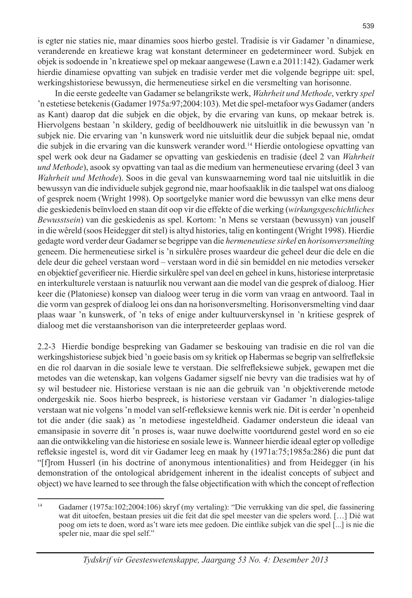is egter nie staties nie, maar dinamies soos hierbo gestel. Tradisie is vir Gadamer 'n dinamiese, veranderende en kreatiewe krag wat konstant determineer en gedetermineer word. Subjek en objek is sodoende in 'n kreatiewe spel op mekaar aangewese (Lawn e.a 2011:142). Gadamer werk hierdie dinamiese opvatting van subjek en tradisie verder met die volgende begrippe uit: spel, werkingshistoriese bewussyn, die hermeneutiese sirkel en die versmelting van horisonne.

 In die eerste gedeelte van Gadamer se belangrikste werk, *Wahrheit und Methode*, verkry *spel* 'n estetiese betekenis (Gadamer 1975a:97;2004:103). Met die spel-metafoor wys Gadamer (anders as Kant) daarop dat die subjek en die objek, by die ervaring van kuns, op mekaar betrek is. Hiervolgens bestaan 'n skildery, gedig of beeldhouwerk nie uitsluitlik in die bewussyn van 'n subjek nie. Die ervaring van 'n kunswerk word nie uitsluitlik deur die subjek bepaal nie, omdat die subjek in die ervaring van die kunswerk verander word.14 Hierdie ontologiese opvatting van spel werk ook deur na Gadamer se opvatting van geskiedenis en tradisie (deel 2 van *Wahrheit und Methode*), asook sy opvatting van taal as die medium van hermeneutiese ervaring (deel 3 van *Wahrheit und Methode*). Soos in die geval van kunswaarneming word taal nie uitsluitlik in die bewussyn van die individuele subjek gegrond nie, maar hoofsaaklik in die taalspel wat ons dialoog of gesprek noem (Wright 1998). Op soortgelyke manier word die bewussyn van elke mens deur die geskiedenis beïnvloed en staan dit oop vir die effekte of die werking (*wirkungsgeschichtliches Bewusstsein*) van die geskiedenis as spel. Kortom: 'n Mens se verstaan (bewussyn) van jouself in die wêreld (soos Heidegger dit stel) is altyd histories, talig en kontingent (Wright 1998). Hierdie gedagte word verder deur Gadamer se begrippe van die *hermeneutiese sirkel* en *horisonversmelting* geneem. Die hermeneutiese sirkel is 'n sirkulêre proses waardeur die geheel deur die dele en die dele deur die geheel verstaan word – verstaan word in dié sin bemiddel en nie metodies verseker en objektief geverifieer nie. Hierdie sirkulêre spel van deel en geheel in kuns, historiese interpretasie en interkulturele verstaan is natuurlik nou verwant aan die model van die gesprek of dialoog. Hier keer die (Platoniese) konsep van dialoog weer terug in die vorm van vraag en antwoord. Taal in die vorm van gesprek of dialoog lei ons dan na horisonversmelting. Horisonversmelting vind daar plaas waar 'n kunswerk, of 'n teks of enige ander kultuurverskynsel in 'n kritiese gesprek of dialoog met die verstaanshorison van die interpreteerder geplaas word.

2.2-3 Hierdie bondige bespreking van Gadamer se beskouing van tradisie en die rol van die werkingshistoriese subjek bied 'n goeie basis om sy kritiek op Habermas se begrip van selfrefleksie en die rol daarvan in die sosiale lewe te verstaan. Die selfrefleksiewe subjek, gewapen met die metodes van die wetenskap, kan volgens Gadamer sigself nie bevry van die tradisies wat hy of sy wil bestudeer nie. Historiese verstaan is nie aan die gebruik van 'n objektiverende metode ondergeskik nie. Soos hierbo bespreek, is historiese verstaan vir Gadamer 'n dialogies-talige verstaan wat nie volgens 'n model van self-refleksiewe kennis werk nie. Dit is eerder 'n openheid tot die ander (die saak) as 'n metodiese ingesteldheid. Gadamer ondersteun die ideaal van emansipasie in soverre dit 'n proses is, waar nuwe doelwitte voortdurend gestel word en so eie aan die ontwikkeling van die historiese en sosiale lewe is. Wanneer hierdie ideaal egter op volledige refleksie ingestel is, word dit vir Gadamer leeg en maak hy (1971a:75;1985a:286) die punt dat "[f]rom Husserl (in his doctrine of anonymous intentionalities) and from Heidegger (in his demonstration of the ontological abridgement inherent in the idealist concepts of subject and object) we have learned to see through the false objectification with which the concept of reflection

<sup>14</sup> Gadamer (1975a:102;2004:106) skryf (my vertaling): "Die verrukking van die spel, die fassinering wat dit uitoefen, bestaan presies uit die feit dat die spel meester van die spelers word. […] Dié wat poog om iets te doen, word as't ware iets mee gedoen. Die eintlike subjek van die spel [...] is nie die speler nie, maar die spel self."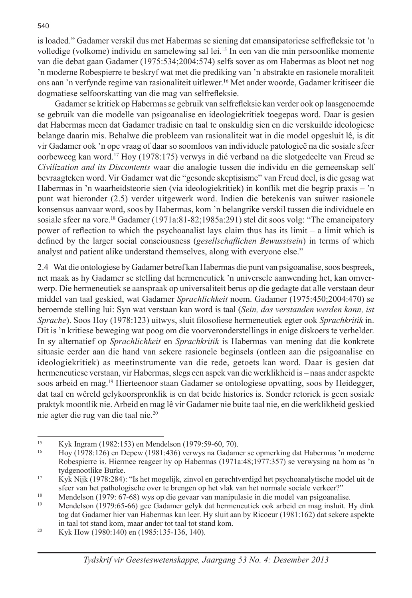is loaded." Gadamer verskil dus met Habermas se siening dat emansipatoriese selfrefleksie tot 'n volledige (volkome) individu en samelewing sal lei.15 In een van die min persoonlike momente van die debat gaan Gadamer (1975:534;2004:574) selfs sover as om Habermas as bloot net nog 'n moderne Robespierre te beskryf wat met die prediking van 'n abstrakte en rasionele moraliteit ons aan 'n verfynde regime van rasionaliteit uitlewer.16 Met ander woorde, Gadamer kritiseer die dogmatiese selfoorskatting van die mag van selfrefleksie.

 Gadamer se kritiek op Habermas se gebruik van selfrefleksie kan verder ook op laasgenoemde se gebruik van die modelle van psigoanalise en ideologiekritiek toegepas word. Daar is gesien dat Habermas meen dat Gadamer tradisie en taal te onskuldig sien en die verskuilde ideologiese belange daarin mis. Behalwe die probleem van rasionaliteit wat in die model opgesluit lê, is dit vir Gadamer ook 'n ope vraag of daar so soomloos van individuele patologieë na die sosiale sfeer oorbeweeg kan word.17 Hoy (1978:175) verwys in dié verband na die slotgedeelte van Freud se *Civilization and its Discontents* waar die analogie tussen die individu en die gemeenskap self bevraagteken word. Vir Gadamer wat die "gesonde skeptisisme" van Freud deel, is die gesag wat Habermas in 'n waarheidsteorie sien (via ideologiekritiek) in konflik met die begrip praxis – 'n punt wat hieronder (2.5) verder uitgewerk word. Indien die betekenis van suiwer rasionele konsensus aanvaar word, soos by Habermas, kom 'n belangrike verskil tussen die individuele en sosiale sfeer na vore.18 Gadamer (1971a:81-82;1985a:291) stel dit soos volg: "The emancipatory power of reflection to which the psychoanalist lays claim thus has its limit – a limit which is defined by the larger social consciousness (*gesellschaflichen Bewusstsein*) in terms of which analyst and patient alike understand themselves, along with everyone else."

2.4 Wat die ontologiese by Gadamer betref kan Habermas die punt van psigoanalise, soos bespreek, net maak as hy Gadamer se stelling dat hermeneutiek 'n universele aanwending het, kan omverwerp. Die hermeneutiek se aanspraak op universaliteit berus op die gedagte dat alle verstaan deur middel van taal geskied, wat Gadamer *Sprachlichkeit* noem. Gadamer (1975:450;2004:470) se beroemde stelling lui: Syn wat verstaan kan word is taal (*Sein, das verstanden werden kann, ist Sprache*). Soos Hoy (1978:123) uitwys, sluit filosofiese hermeneutiek egter ook *Sprachkritik* in. Dit is 'n kritiese beweging wat poog om die voorveronderstellings in enige diskoers te verhelder. In sy alternatief op *Sprachlichkeit* en *Sprachkritik* is Habermas van mening dat die konkrete situasie eerder aan die hand van sekere rasionele beginsels (ontleen aan die psigoanalise en ideologiekritiek) as meetinstrumente van die rede, getoets kan word. Daar is gesien dat hermeneutiese verstaan, vir Habermas, slegs een aspek van die werklikheid is – naas ander aspekte soos arbeid en mag.19 Hierteenoor staan Gadamer se ontologiese opvatting, soos by Heidegger, dat taal en wêreld gelykoorspronklik is en dat beide histories is. Sonder retoriek is geen sosiale praktyk moontlik nie. Arbeid en mag lê vir Gadamer nie buite taal nie, en die werklikheid geskied nie agter die rug van die taal nie.<sup>20</sup>

<sup>&</sup>lt;sup>15</sup> Kyk Ingram (1982:153) en Mendelson (1979:59-60, 70).<br><sup>16</sup> Hoy (1979:126) en Denou (1981:426) verwys no Godem

<sup>16</sup> Hoy (1978:126) en Depew (1981:436) verwys na Gadamer se opmerking dat Habermas 'n moderne Robespierre is. Hiermee reageer hy op Habermas (1971a:48;1977:357) se verwysing na hom as 'n tydgenootlike Burke.

<sup>17</sup> Kyk Nijk (1978:284): "Is het mogelijk, zinvol en gerechtverdigd het psychoanalytische model uit de sfeer van het pathologische over te brengen op het vlak van het normale sociale verkeer?"<br>Mendelson (1979: 67-68) wys op die gevaar van manipulasie in die model van psigoanalise.<br>Mendelson (1979: 65-66) gee Gedemer gelyk d

<sup>19</sup> Mendelson (1979:65-66) gee Gadamer gelyk dat hermeneutiek ook arbeid en mag insluit. Hy dink tog dat Gadamer hier van Habermas kan leer. Hy sluit aan by Ricoeur (1981:162) dat sekere aspekte

in taal tot stand kom, maar ander tot taal tot stand kom.<br><sup>20</sup> Kyk How (1980:140) en (1985:135-136, 140).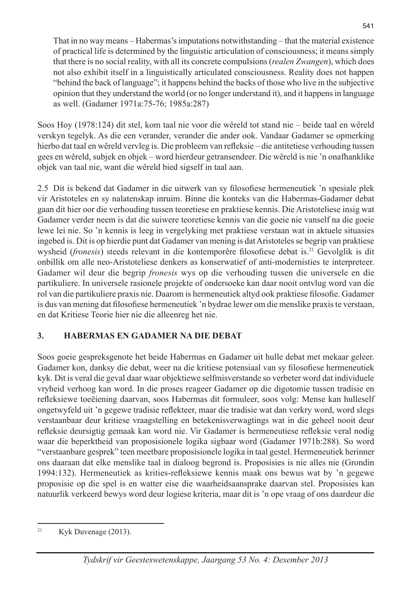That in no way means – Habermas's imputations notwithstanding – that the material existence of practical life is determined by the linguistic articulation of consciousness; it means simply that there is no social reality, with all its concrete compulsions (*realen Zwangen*), which does not also exhibit itself in a linguistically articulated consciousness. Reality does not happen "behind the back of language"; it happens behind the backs of those who live in the subjective opinion that they understand the world (or no longer understand it), and it happens in language as well. (Gadamer 1971a:75-76; 1985a:287)

Soos Hoy (1978:124) dit stel, kom taal nie voor die wêreld tot stand nie – beide taal en wêreld verskyn tegelyk. As die een verander, verander die ander ook. Vandaar Gadamer se opmerking hierbo dat taal en wêreld vervleg is. Die probleem van refleksie – die antitetiese verhouding tussen gees en wêreld, subjek en objek – word hierdeur getransendeer. Die wêreld is nie 'n onafhanklike objek van taal nie, want die wêreld bied sigself in taal aan.

2.5 Dit is bekend dat Gadamer in die uitwerk van sy filosofiese hermeneutiek 'n spesiale plek vir Aristoteles en sy nalatenskap inruim. Binne die konteks van die Habermas-Gadamer debat gaan dit hier oor die verhouding tussen teoretiese en praktiese kennis. Die Aristoteliese insig wat Gadamer verder neem is dat die suiwere teoretiese kennis van die goeie nie vanself na die goeie lewe lei nie. So 'n kennis is leeg in vergelyking met praktiese verstaan wat in aktuele situasies ingebed is. Dit is op hierdie punt dat Gadamer van mening is dat Aristoteles se begrip van praktiese wysheid (*fronesis*) steeds relevant in die kontemporêre filosofiese debat is.21 Gevolglik is dit onbillik om alle neo-Aristoteliese denkers as konserwatief of anti-modernisties te interpreteer. Gadamer wil deur die begrip *fronesis* wys op die verhouding tussen die universele en die partikuliere. In universele rasionele projekte of ondersoeke kan daar nooit ontvlug word van die rol van die partikuliere praxis nie. Daarom is hermeneutiek altyd ook praktiese filosofie. Gadamer is dus van mening dat filosofiese hermeneutiek 'n bydrae lewer om die menslike praxis te verstaan, en dat Kritiese Teorie hier nie die alleenreg het nie.

### **3. HABERMAS EN GADAMER NA DIE DEBAT**

Soos goeie gespreksgenote het beide Habermas en Gadamer uit hulle debat met mekaar geleer. Gadamer kon, danksy die debat, weer na die kritiese potensiaal van sy filosofiese hermeneutiek kyk. Dit is veral die geval daar waar objektiewe selfmisverstande so verbeter word dat individuele vryheid verhoog kan word. In die proses reageer Gadamer op die digotomie tussen tradisie en refleksiewe toeëiening daarvan, soos Habermas dit formuleer, soos volg: Mense kan hulleself ongetwyfeld uit 'n gegewe tradisie reflekteer, maar die tradisie wat dan verkry word, word slegs verstaanbaar deur kritiese vraagstelling en betekenisverwagtings wat in die geheel nooit deur refleksie deursigtig gemaak kan word nie. Vir Gadamer is hermeneutiese refleksie veral nodig waar die beperktheid van proposisionele logika sigbaar word (Gadamer 1971b:288). So word "verstaanbare gesprek" teen meetbare proposisionele logika in taal gestel. Hermeneutiek herinner ons daaraan dat elke menslike taal in dialoog begrond is. Proposisies is nie alles nie (Grondin 1994:132). Hermeneutiek as krities-refleksiewe kennis maak ons bewus wat by 'n gegewe proposisie op die spel is en watter eise die waarheidsaansprake daarvan stel. Proposisies kan natuurlik verkeerd bewys word deur logiese kriteria, maar dit is 'n ope vraag of ons daardeur die

<sup>&</sup>lt;sup>21</sup> Kyk Duvenage  $(2013)$ .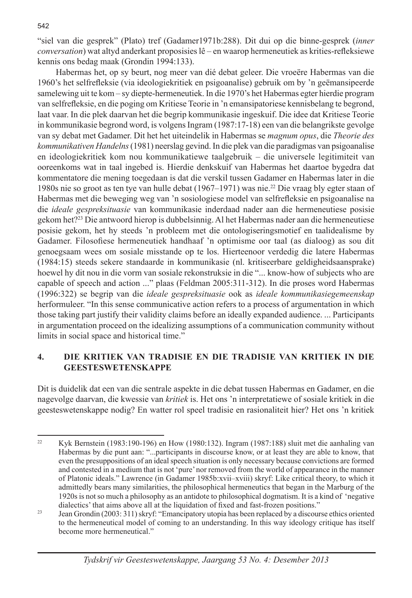"siel van die gesprek" (Plato) tref (Gadamer1971b:288). Dit dui op die binne-gesprek (*inner conversation*) wat altyd anderkant proposisies lê – en waarop hermeneutiek as krities-refleksiewe kennis ons bedag maak (Grondin 1994:133).

 Habermas het, op sy beurt, nog meer van dié debat geleer. Die vroeëre Habermas van die 1960's het selfrefleksie (via ideologiekritiek en psigoanalise) gebruik om by 'n geëmansipeerde samelewing uit te kom – sy diepte-hermeneutiek. In die 1970's het Habermas egter hierdie program van selfrefleksie, en die poging om Kritiese Teorie in 'n emansipatoriese kennisbelang te begrond, laat vaar. In die plek daarvan het die begrip kommunikasie ingeskuif. Die idee dat Kritiese Teorie in kommunikasie begrond word, is volgens Ingram (1987:17-18) een van die belangrikste gevolge van sy debat met Gadamer. Dit het het uiteindelik in Habermas se *magnum opus*, die *Theorie des kommunikativen Handelns* (1981) neerslag gevind. In die plek van die paradigmas van psigoanalise en ideologiekritiek kom nou kommunikatiewe taalgebruik – die universele legitimiteit van ooreenkoms wat in taal ingebed is. Hierdie denkskuif van Habermas het daartoe bygedra dat kommentatore die mening toegedaan is dat die verskil tussen Gadamer en Habermas later in die 1980s nie so groot as ten tye van hulle debat (1967–1971) was nie.22 Die vraag bly egter staan of Habermas met die beweging weg van 'n sosiologiese model van selfrefleksie en psigoanalise na die *ideale gespreksituasie* van kommunikasie inderdaad nader aan die hermeneutiese posisie gekom het?23 Die antwoord hierop is dubbelsinnig. Al het Habermas nader aan die hermeneutiese posisie gekom, het hy steeds 'n probleem met die ontologiseringsmotief en taalidealisme by Gadamer. Filosofiese hermeneutiek handhaaf 'n optimisme oor taal (as dialoog) as sou dit genoegsaam wees om sosiale misstande op te los. Hierteenoor verdedig die latere Habermas (1984:15) steeds sekere standaarde in kommunikasie (nl. kritiseerbare geldigheidsaansprake) hoewel hy dit nou in die vorm van sosiale rekonstruksie in die "... know-how of subjects who are capable of speech and action ..." plaas (Feldman 2005:311-312). In die proses word Habermas (1996:322) se begrip van die *ideale gespreksituasie* ook as *ideale kommunikasiegemeenskap* herformuleer. "In this sense communicative action refers to a process of argumentation in which those taking part justify their validity claims before an ideally expanded audience. ... Participants in argumentation proceed on the idealizing assumptions of a communication community without limits in social space and historical time."

### **4. DIE KRITIEK VAN TRADISIE EN DIE TRADISIE VAN KRITIEK IN DIE GEESTESWETENSKAPPE**

Dit is duidelik dat een van die sentrale aspekte in die debat tussen Habermas en Gadamer, en die nagevolge daarvan, die kwessie van *kritiek* is. Het ons 'n interpretatiewe of sosiale kritiek in die geesteswetenskappe nodig? En watter rol speel tradisie en rasionaliteit hier? Het ons 'n kritiek

<sup>22</sup> Kyk Bernstein (1983:190-196) en How (1980:132). Ingram (1987:188) sluit met die aanhaling van Habermas by die punt aan: "...participants in discourse know, or at least they are able to know, that even the presuppositions of an ideal speech situation is only necessary because convictions are formed and contested in a medium that is not 'pure' nor removed from the world of appearance in the manner of Platonic ideals." Lawrence (in Gadamer 1985b:xvii–xviii) skryf: Like critical theory, to which it admittedly bears many similarities, the philosophical hermeneutics that began in the Marburg of the 1920s is not so much a philosophy as an antidote to philosophical dogmatism. It is a kind of 'negative

 $\frac{23}{2}$  Jean Grondin (2003: 311) skryf: "Emancipatory utopia has been replaced by a discourse ethics oriented to the hermeneutical model of coming to an understanding. In this way ideology critique has itself become more hermeneutical."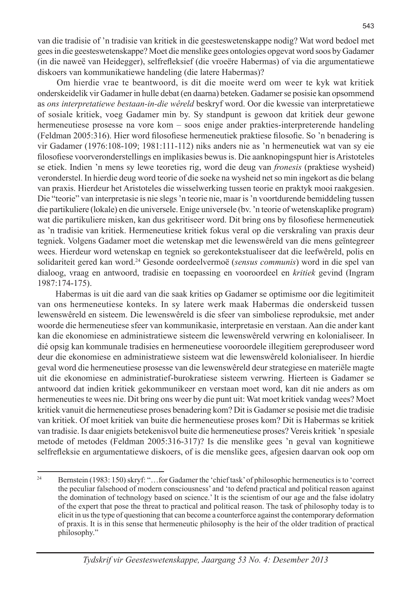van die tradisie of 'n tradisie van kritiek in die geesteswetenskappe nodig? Wat word bedoel met gees in die geesteswetenskappe? Moet die menslike gees ontologies opgevat word soos by Gadamer (in die naweë van Heidegger), selfrefleksief (die vroeëre Habermas) of via die argumentatiewe diskoers van kommunikatiewe handeling (die latere Habermas)?

 Om hierdie vrae te beantwoord, is dit die moeite werd om weer te kyk wat kritiek onderskeidelik vir Gadamer in hulle debat (en daarna) beteken. Gadamer se posisie kan opsommend as *ons interpretatiewe bestaan-in-die wêreld* beskryf word. Oor die kwessie van interpretatiewe of sosiale kritiek, voeg Gadamer min by. Sy standpunt is gewoon dat kritiek deur gewone hermeneutiese prosesse na vore kom – soos enige ander prakties-interpreterende handeling (Feldman 2005:316). Hier word filosofiese hermeneutiek praktiese filosofie. So 'n benadering is vir Gadamer (1976:108-109; 1981:111-112) niks anders nie as 'n hermeneutiek wat van sy eie filosofiese voorveronderstellings en implikasies bewus is. Die aanknopingspunt hier is Aristoteles se etiek. Indien 'n mens sy lewe teoreties rig, word die deug van *fronesis* (praktiese wysheid) veronderstel. In hierdie deug word teorie of die soeke na wysheid net so min ingekort as die belang van praxis. Hierdeur het Aristoteles die wisselwerking tussen teorie en praktyk mooi raakgesien. Die "teorie" van interpretasie is nie slegs 'n teorie nie, maar is 'n voortdurende bemiddeling tussen die partikuliere (lokale) en die universele. Enige universele (bv. 'n teorie of wetenskaplike program) wat die partikuliere misken, kan dus gekritiseer word. Dit bring ons by filosofiese hermeneutiek as 'n tradisie van kritiek. Hermeneutiese kritiek fokus veral op die verskraling van praxis deur tegniek. Volgens Gadamer moet die wetenskap met die lewenswêreld van die mens geïntegreer wees. Hierdeur word wetenskap en tegniek so gerekontekstualiseer dat die leefwêreld, polis en solidariteit gered kan word.24 Gesonde oordeelvermoë (*sensus communis*) word in die spel van dialoog, vraag en antwoord, tradisie en toepassing en vooroordeel en *kritiek* gevind (Ingram 1987:174-175).

 Habermas is uit die aard van die saak krities op Gadamer se optimisme oor die legitimiteit van ons hermeneutiese konteks. In sy latere werk maak Habermas die onderskeid tussen lewenswêreld en sisteem. Die lewenswêreld is die sfeer van simboliese reproduksie, met ander woorde die hermeneutiese sfeer van kommunikasie, interpretasie en verstaan. Aan die ander kant kan die ekonomiese en administratiewe sisteem die lewenswêreld verwring en kolonialiseer. In dié opsig kan kommunale tradisies en hermeneutiese vooroordele illegitiem gereproduseer word deur die ekonomiese en administratiewe sisteem wat die lewenswêreld kolonialiseer. In hierdie geval word die hermeneutiese prosesse van die lewenswêreld deur strategiese en materiële magte uit die ekonomiese en administratief-burokratiese sisteem verwring. Hierteen is Gadamer se antwoord dat indien kritiek gekommunikeer en verstaan moet word, kan dit nie anders as om hermeneuties te wees nie. Dit bring ons weer by die punt uit: Wat moet kritiek vandag wees? Moet kritiek vanuit die hermeneutiese proses benadering kom? Dit is Gadamer se posisie met die tradisie van kritiek. Of moet kritiek van buite die hermeneutiese proses kom? Dit is Habermas se kritiek van tradisie. Is daar enigiets betekenisvol buite die hermeneutiese proses? Vereis kritiek 'n spesiale metode of metodes (Feldman 2005:316-317)? Is die menslike gees 'n geval van kognitiewe selfrefleksie en argumentatiewe diskoers, of is die menslike gees, afgesien daarvan ook oop om

<sup>24</sup> Bernstein (1983: 150) skryf: "…for Gadamer the 'chief task' of philosophic hermeneutics is to 'correct the peculiar falsehood of modern consciousness' and 'to defend practical and political reason against the domination of technology based on science.' It is the scientism of our age and the false idolatry of the expert that pose the threat to practical and political reason. The task of philosophy today is to elicit in us the type of questioning that can become a counterforce against the contemporary deformation of praxis. It is in this sense that hermeneutic philosophy is the heir of the older tradition of practical philosophy."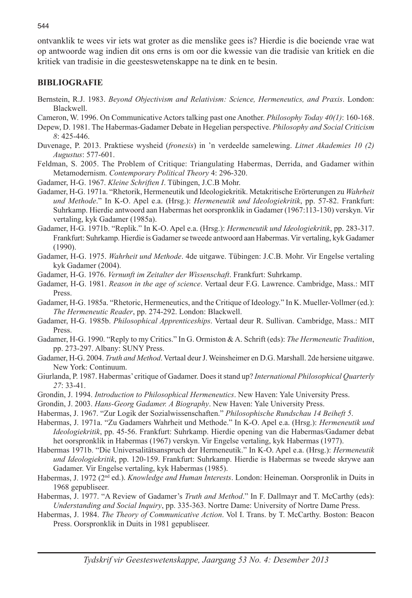ontvanklik te wees vir iets wat groter as die menslike gees is? Hierdie is die boeiende vrae wat op antwoorde wag indien dit ons erns is om oor die kwessie van die tradisie van kritiek en die kritiek van tradisie in die geesteswetenskappe na te dink en te besin.

### **BIBLIOGRAFIE**

- Bernstein, R.J. 1983. *Beyond Objectivism and Relativism: Science, Hermeneutics, and Praxis*. London: Blackwell.
- Cameron, W. 1996. On Communicative Actors talking past one Another. *Philosophy Today 40(1)*: 160-168.
- Depew, D. 1981. The Habermas-Gadamer Debate in Hegelian perspective. *Philosophy and Social Criticism 8*: 425-446.
- Duvenage, P. 2013. Praktiese wysheid (*fronesis*) in 'n verdeelde samelewing. *Litnet Akademies 10 (2) Augustus*: 577-601.
- Feldman, S. 2005. The Problem of Critique: Triangulating Habermas, Derrida, and Gadamer within Metamodernism. *Contemporary Political Theory* 4: 296-320.
- Gadamer, H-G. 1967. *Kleine Schriften I*. Tübingen, J.C.B Mohr.
- Gadamer, H-G. 1971a. "Rhetorik, Hermeneutik und Ideologiekritik. Metakritische Erörterungen zu *Wahrheit und Methode*." In K-O. Apel e.a. (Hrsg.): *Hermeneutik und Ideologiekritik*, pp. 57-82. Frankfurt: Suhrkamp. Hierdie antwoord aan Habermas het oorspronklik in Gadamer (1967:113-130) verskyn. Vir vertaling, kyk Gadamer (1985a).
- Gadamer, H-G. 1971b. "Replik." In K-O. Apel e.a. (Hrsg.): *Hermeneutik und Ideologiekritik*, pp. 283-317. Frankfurt: Suhrkamp. Hierdie is Gadamer se tweede antwoord aan Habermas. Vir vertaling, kyk Gadamer  $(1990)$ .
- Gadamer, H-G. 1975. *Wahrheit und Methode*. 4de uitgawe. Tübingen: J.C.B. Mohr. Vir Engelse vertaling kyk Gadamer (2004).
- Gadamer, H-G. 1976. *Vernunft im Zeitalter der Wissenschaft*. Frankfurt: Suhrkamp.
- Gadamer, H-G. 1981. *Reason in the age of science*. Vertaal deur F.G. Lawrence. Cambridge, Mass.: MIT Press.
- Gadamer, H-G. 1985a. "Rhetoric, Hermeneutics, and the Critique of Ideology." In K. Mueller-Vollmer (ed.): *The Hermeneutic Reader*, pp. 274-292. London: Blackwell.
- Gadamer, H-G. 1985b. *Philosophical Apprenticeships*. Vertaal deur R. Sullivan. Cambridge, Mass.: MIT Press.
- Gadamer, H-G. 1990. "Reply to my Critics." In G. Ormiston & A. Schrift (eds): *The Hermeneutic Tradition*, pp. 273-297. Albany: SUNY Press.
- Gadamer, H-G. 2004. *Truth and Method*. Vertaal deur J. Weinsheimer en D.G. Marshall. 2de hersiene uitgawe. New York: Continuum.
- Giurlanda, P. 1987. Habermas' critique of Gadamer. Does it stand up? *International Philosophical Quarterly 27*: 33-41.
- Grondin, J. 1994. *Introduction to Philosophical Hermeneutics*. New Haven: Yale University Press.
- Grondin, J. 2003. *Hans-Georg Gadamer. A Biography*. New Haven: Yale University Press.
- Habermas, J. 1967. "Zur Logik der Sozialwissenschaften." *Philosophische Rundschau 14 Beiheft 5*.
- Habermas, J. 1971a. "Zu Gadamers Wahrheit und Methode." In K-O. Apel e.a. (Hrsg.): *Hermeneutik und Ideologiekritik*, pp. 45-56. Frankfurt: Suhrkamp. Hierdie opening van die Habermas/Gadamer debat het oorspronklik in Habermas (1967) verskyn. Vir Engelse vertaling, kyk Habermas (1977).
- Habermas 1971b. "Die Universalitätsanspruch der Hermeneutik." In K-O. Apel e.a. (Hrsg.): *Hermeneutik und Ideologiekritik*, pp. 120-159. Frankfurt: Suhrkamp. Hierdie is Habermas se tweede skrywe aan Gadamer. Vir Engelse vertaling, kyk Habermas (1985).
- Habermas, J. 1972 (2nd ed.). *Knowledge and Human Interests*. London: Heineman. Oorspronlik in Duits in 1968 gepubliseer.
- Habermas, J. 1977. "A Review of Gadamer's *Truth and Method*." In F. Dallmayr and T. McCarthy (eds): *Understanding and Social Inquiry*, pp. 335-363. Nortre Dame: University of Nortre Dame Press.
- Habermas, J. 1984. *The Theory of Communicative Action*. Vol I. Trans. by T. McCarthy. Boston: Beacon Press. Oorspronklik in Duits in 1981 gepubliseer.